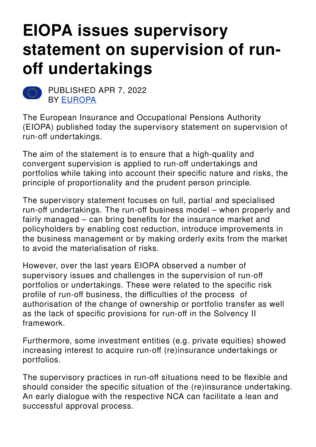# **EIOPA issues supervisory statement on supervision of runoff undertakings**



PUBLISHED APR 7, 2022 BY [EUROPA](https://europa.eu/)

The European Insurance and Occupational Pensions Authority (EIOPA) published today the supervisory statement on supervision of run-off undertakings.

The aim of the statement is to ensure that a high-quality and convergent supervision is applied to run-off undertakings and portfolios while taking into account their specific nature and risks, the principle of proportionality and the prudent person principle.

The supervisory statement focuses on full, partial and specialised run-off undertakings. The run-off business model – when properly and fairly managed – can bring benefits for the insurance market and policyholders by enabling cost reduction, introduce improvements in the business management or by making orderly exits from the market to avoid the materialisation of risks.

However, over the last years EIOPA observed a number of supervisory issues and challenges in the supervision of run-off portfolios or undertakings. These were related to the specific risk profile of run-off business, the difficulties of the process of authorisation of the change of ownership or portfolio transfer as well as the lack of specific provisions for run-off in the Solvency II framework.

Furthermore, some investment entities (e.g. private equities) showed increasing interest to acquire run-off (re)insurance undertakings or portfolios.

The supervisory practices in run-off situations need to be flexible and should consider the specific situation of the (re)insurance undertaking. An early dialogue with the respective NCA can facilitate a lean and successful approval process.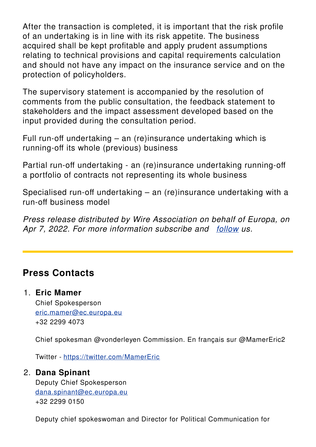After the transaction is completed, it is important that the risk profile of an undertaking is in line with its risk appetite. The business acquired shall be kept profitable and apply prudent assumptions relating to technical provisions and capital requirements calculation and should not have any impact on the insurance service and on the protection of policyholders.

The supervisory statement is accompanied by the resolution of comments from the public consultation, the feedback statement to stakeholders and the impact assessment developed based on the input provided during the consultation period.

Full run-off undertaking – an (re)insurance undertaking which is running-off its whole (previous) business

Partial run-off undertaking - an (re)insurance undertaking running-off a portfolio of contracts not representing its whole business

Specialised run-off undertaking – an (re)insurance undertaking with a run-off business model

*Press release distributed by Wire Association on behalf of Europa, on Apr 7, 2022. For more information subscribe and [follow](https://wireassociation.eu) us.*

## **Press Contacts**

#### 1. **Eric Mamer**

Chief Spokesperson [eric.mamer@ec.europa.eu](mailto:eric.mamer@ec.europa.eu) +32 2299 4073

Chief spokesman @vonderleyen Commission. En français sur @MamerEric2

Twitter - <https://twitter.com/MamerEric>

#### 2. **Dana Spinant**

Deputy Chief Spokesperson [dana.spinant@ec.europa.eu](mailto:dana.spinant@ec.europa.eu) +32 2299 0150

Deputy chief spokeswoman and Director for Political Communication for